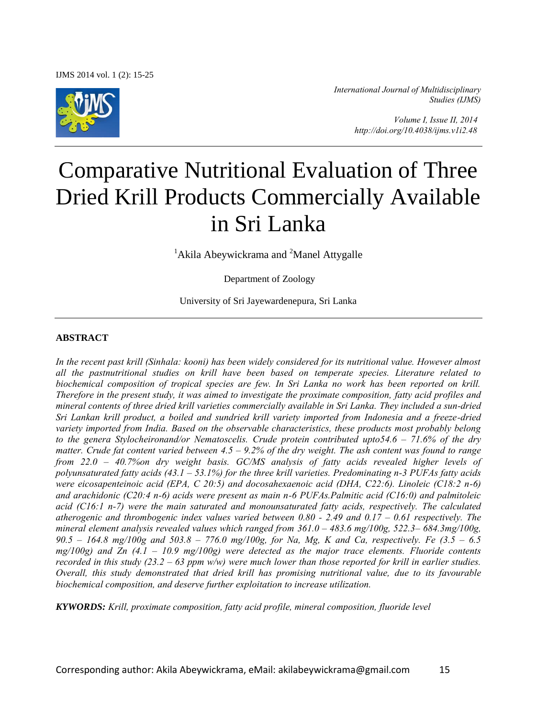

*International Journal of Multidisciplinary Studies (IJMS)* 

> *Volume I, Issue II, 2014 http://doi.org/10.4038/ijms.v1i2.48*

# Comparative Nutritional Evaluation of Three Dried Krill Products Commercially Available in Sri Lanka

<sup>1</sup>Akila Abeywickrama and <sup>2</sup>Manel Attygalle

Department of Zoology

University of Sri Jayewardenepura, Sri Lanka

## **ABSTRACT**

In the recent past krill (Sinhala: kooni) has been widely considered for its nutritional value. However almost *all the pastnutritional studies on krill have been based on temperate species. Literature related to biochemical composition of tropical species are few. In Sri Lanka no work has been reported on krill. Therefore in the present study, it was aimed to investigate the proximate composition, fatty acid profiles and mineral contents of three dried krill varieties commercially available in Sri Lanka. They included a sun-dried Sri Lankan krill product, a boiled and sundried krill variety imported from Indonesia and a freeze-dried variety imported from India. Based on the observable characteristics, these products most probably belong to the genera Stylocheironand/or Nematoscelis. Crude protein contributed upto54.6 – 71.6% of the dry matter. Crude fat content varied between 4.5 – 9.2% of the dry weight. The ash content was found to range from 22.0 – 40.7%on dry weight basis. GC/MS analysis of fatty acids revealed higher levels of polyunsaturated fatty acids (43.1 – 53.1%) for the three krill varieties. Predominating n-3 PUFAs fatty acids were eicosapenteinoic acid (EPA, C 20:5) and docosahexaenoic acid (DHA, C22:6). Linoleic (C18:2 n-6) and arachidonic (C20:4 n-6) acids were present as main n-6 PUFAs.Palmitic acid (C16:0) and palmitoleic acid (C16:1 n-7) were the main saturated and monounsaturated fatty acids, respectively. The calculated atherogenic and thrombogenic index values varied between 0.80 - 2.49 and 0.17 – 0.61 respectively. The mineral element analysis revealed values which ranged from*  $361.0 - 483.6$  *mg/100g,*  $522.3 - 684.3$ *mg/100g, 90.5 – 164.8 mg/100g and 503.8 – 776.0 mg/100g, for Na, Mg, K and Ca, respectively. Fe (3.5 – 6.5 mg/100g) and Zn (4.1 – 10.9 mg/100g) were detected as the major trace elements. Fluoride contents recorded in this study (23.2 – 63 ppm w/w) were much lower than those reported for krill in earlier studies. Overall, this study demonstrated that dried krill has promising nutritional value, due to its favourable biochemical composition, and deserve further exploitation to increase utilization.* 

*KYWORDS: Krill, proximate composition, fatty acid profile, mineral composition, fluoride level*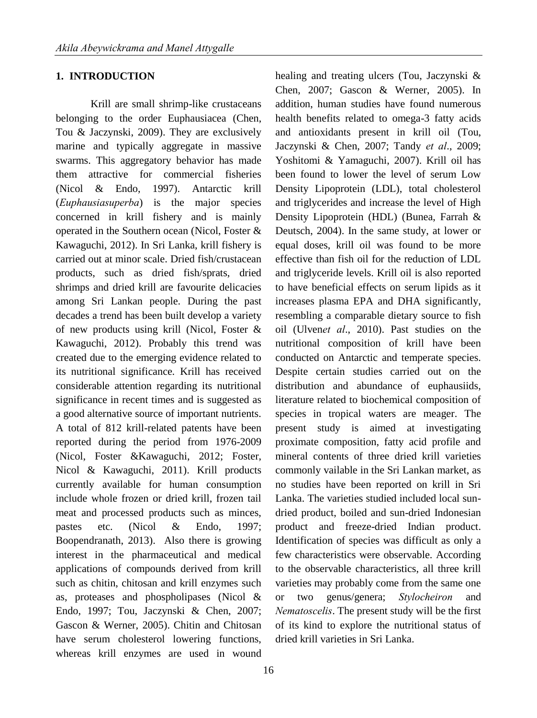# **1. INTRODUCTION**

Krill are small shrimp-like crustaceans belonging to the order Euphausiacea (Chen, Tou & Jaczynski, 2009). They are exclusively marine and typically aggregate in massive swarms. This aggregatory behavior has made them attractive for commercial fisheries (Nicol & Endo, 1997). Antarctic krill (*Euphausiasuperba*) is the major species concerned in krill fishery and is mainly operated in the Southern ocean (Nicol, Foster & Kawaguchi, 2012). In Sri Lanka, krill fishery is carried out at minor scale. Dried fish/crustacean products, such as dried fish/sprats, dried shrimps and dried krill are favourite delicacies among Sri Lankan people. During the past decades a trend has been built develop a variety of new products using krill (Nicol, Foster & Kawaguchi, 2012). Probably this trend was created due to the emerging evidence related to its nutritional significance. Krill has received considerable attention regarding its nutritional significance in recent times and is suggested as a good alternative source of important nutrients. A total of 812 krill-related patents have been reported during the period from 1976-2009 (Nicol, Foster &Kawaguchi, 2012; Foster, Nicol & Kawaguchi, 2011). Krill products currently available for human consumption include whole frozen or dried krill, frozen tail meat and processed products such as minces, pastes etc. (Nicol & Endo, 1997; Boopendranath, 2013). Also there is growing interest in the pharmaceutical and medical applications of compounds derived from krill such as chitin, chitosan and krill enzymes such as, proteases and phospholipases (Nicol & Endo, 1997; Tou, Jaczynski & Chen, 2007; Gascon & Werner, 2005). Chitin and Chitosan have serum cholesterol lowering functions, whereas krill enzymes are used in wound

healing and treating ulcers (Tou, Jaczynski & Chen, 2007; Gascon & Werner, 2005). In addition, human studies have found numerous health benefits related to omega-3 fatty acids and antioxidants present in krill oil (Tou, Jaczynski & Chen, 2007; Tandy *et al*., 2009; Yoshitomi & Yamaguchi, 2007). Krill oil has been found to lower the level of serum Low Density Lipoprotein (LDL), total cholesterol and triglycerides and increase the level of High Density Lipoprotein (HDL) (Bunea, Farrah & Deutsch, 2004). In the same study, at lower or equal doses, krill oil was found to be more effective than fish oil for the reduction of LDL and triglyceride levels. Krill oil is also reported to have beneficial effects on serum lipids as it increases plasma EPA and DHA significantly, resembling a comparable dietary source to fish oil (Ulven*et al*., 2010). Past studies on the nutritional composition of krill have been conducted on Antarctic and temperate species. Despite certain studies carried out on the distribution and abundance of euphausiids, literature related to biochemical composition of species in tropical waters are meager. The present study is aimed at investigating proximate composition, fatty acid profile and mineral contents of three dried krill varieties commonly vailable in the Sri Lankan market, as no studies have been reported on krill in Sri Lanka. The varieties studied included local sundried product, boiled and sun-dried Indonesian product and freeze-dried Indian product. Identification of species was difficult as only a few characteristics were observable. According to the observable characteristics, all three krill varieties may probably come from the same one or two genus/genera; *Stylocheiron* and *Nematoscelis*. The present study will be the first of its kind to explore the nutritional status of dried krill varieties in Sri Lanka.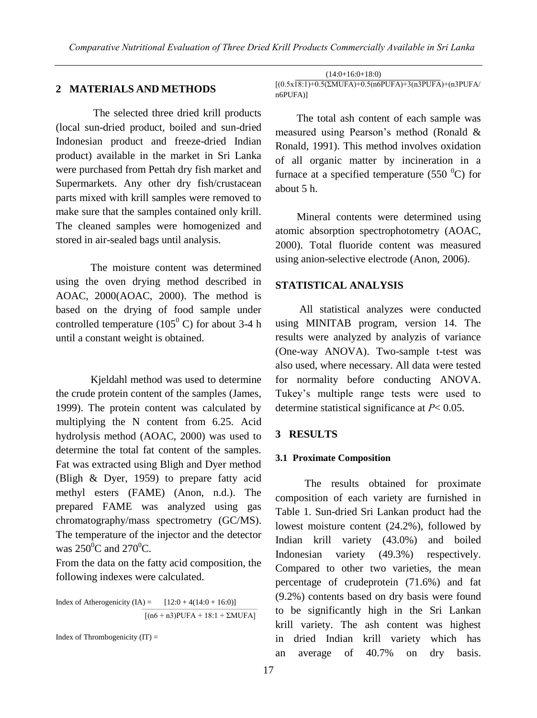## **2 MATERIALS AND METHODS**

 The selected three dried krill products (local sun-dried product, boiled and sun-dried Indonesian product and freeze-dried Indian product) available in the market in Sri Lanka were purchased from Pettah dry fish market and Supermarkets. Any other dry fish/crustacean parts mixed with krill samples were removed to make sure that the samples contained only krill. The cleaned samples were homogenized and stored in air-sealed bags until analysis.

The moisture content was determined using the oven drying method described in AOAC, 2000(AOAC, 2000). The method is based on the drying of food sample under controlled temperature  $(105^{\circ} \text{ C})$  for about 3-4 h until a constant weight is obtained.

Kjeldahl method was used to determine the crude protein content of the samples (James, 1999). The protein content was calculated by multiplying the N content from 6.25. Acid hydrolysis method (AOAC, 2000) was used to determine the total fat content of the samples. Fat was extracted using Bligh and Dyer method (Bligh & Dyer, 1959) to prepare fatty acid methyl esters (FAME) (Anon, n.d.). The prepared FAME was analyzed using gas chromatography/mass spectrometry (GC/MS). The temperature of the injector and the detector was  $250^{\circ}$ C and  $270^{\circ}$ C.

From the data on the fatty acid composition, the following indexes were calculated.

Index of Atherogenicity  $(IA) = [12:0 + 4(14:0 + 16:0)]$  $[(n6 + n3)$ PUFA + 18:1 + ΣMUFA]

Index of Thrombogenicity  $(IT) =$ 

 (14:0+16:0+18:0)  $[(0.5x18:1)+0.5(2MUFA)+0.5(n6PUFA)+3(n3PUFA)+(n3PUFA)$ n6PUFA)]

 The total ash content of each sample was measured using Pearson's method (Ronald & Ronald, 1991). This method involves oxidation of all organic matter by incineration in a furnace at a specified temperature (550 $\mathrm{^{0}C}$ ) for about 5 h.

 Mineral contents were determined using atomic absorption spectrophotometry (AOAC, 2000). Total fluoride content was measured using anion-selective electrode (Anon, 2006).

#### **STATISTICAL ANALYSIS**

 All statistical analyzes were conducted using MINITAB program, version 14. The results were analyzed by analyzis of variance (One-way ANOVA). Two-sample t-test was also used, where necessary. All data were tested for normality before conducting ANOVA. Tukey's multiple range tests were used to determine statistical significance at *P*< 0.05.

#### **3 RESULTS**

#### **3.1 Proximate Composition**

 The results obtained for proximate composition of each variety are furnished in Table 1. Sun-dried Sri Lankan product had the lowest moisture content (24.2%), followed by Indian krill variety (43.0%) and boiled Indonesian variety (49.3%) respectively. Compared to other two varieties, the mean percentage of crudeprotein (71.6%) and fat (9.2%) contents based on dry basis were found to be significantly high in the Sri Lankan krill variety. The ash content was highest in dried Indian krill variety which has an average of 40.7% on dry basis.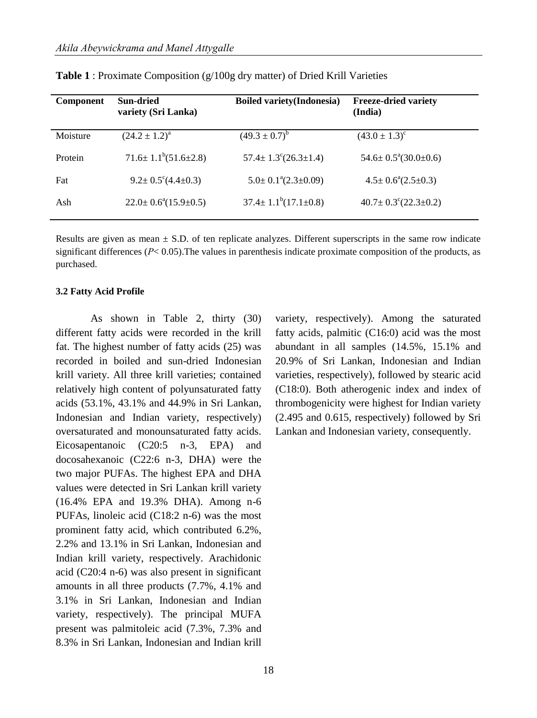| Component | <b>Sun-dried</b><br>variety (Sri Lanka) | <b>Boiled variety</b> (Indonesia)     | <b>Freeze-dried variety</b><br>(India) |
|-----------|-----------------------------------------|---------------------------------------|----------------------------------------|
| Moisture  | $(24.2 \pm 1.2)^a$                      | $(49.3 \pm 0.7)^b$                    | $(43.0 \pm 1.3)^{\circ}$               |
| Protein   | $71.6 \pm 1.1^b(51.6 \pm 2.8)$          | $57.4 \pm 1.3^{\circ} (26.3 \pm 1.4)$ | $54.6 \pm 0.5^{\circ}(30.0 \pm 0.6)$   |
| Fat       | $9.2 \pm 0.5^{\circ} (4.4 \pm 0.3)$     | $5.0 \pm 0.1^{\circ}(2.3 \pm 0.09)$   | $4.5 \pm 0.6^{\circ}(2.5 \pm 0.3)$     |
| Ash       | $22.0 \pm 0.6^{\circ}(15.9 \pm 0.5)$    | $37.4 \pm 1.1^{b}(17.1 \pm 0.8)$      | $40.7 \pm 0.3^{\circ} (22.3 \pm 0.2)$  |

**Table 1** : Proximate Composition (g/100g dry matter) of Dried Krill Varieties

Results are given as mean  $\pm$  S.D. of ten replicate analyzes. Different superscripts in the same row indicate significant differences  $(P< 0.05)$ . The values in parenthesis indicate proximate composition of the products, as purchased.

#### **3.2 Fatty Acid Profile**

As shown in Table 2, thirty (30) different fatty acids were recorded in the krill fat. The highest number of fatty acids (25) was recorded in boiled and sun-dried Indonesian krill variety. All three krill varieties; contained relatively high content of polyunsaturated fatty acids (53.1%, 43.1% and 44.9% in Sri Lankan, Indonesian and Indian variety, respectively) oversaturated and monounsaturated fatty acids. Eicosapentanoic (C20:5 n-3, EPA) and docosahexanoic (C22:6 n-3, DHA) were the two major PUFAs. The highest EPA and DHA values were detected in Sri Lankan krill variety (16.4% EPA and 19.3% DHA). Among n-6 PUFAs, linoleic acid (C18:2 n-6) was the most prominent fatty acid, which contributed 6.2%, 2.2% and 13.1% in Sri Lankan, Indonesian and Indian krill variety, respectively. Arachidonic acid (C20:4 n-6) was also present in significant amounts in all three products (7.7%, 4.1% and 3.1% in Sri Lankan, Indonesian and Indian variety, respectively). The principal MUFA present was palmitoleic acid (7.3%, 7.3% and 8.3% in Sri Lankan, Indonesian and Indian krill

variety, respectively). Among the saturated fatty acids, palmitic (C16:0) acid was the most abundant in all samples (14.5%, 15.1% and 20.9% of Sri Lankan, Indonesian and Indian varieties, respectively), followed by stearic acid (C18:0). Both atherogenic index and index of thrombogenicity were highest for Indian variety (2.495 and 0.615, respectively) followed by Sri Lankan and Indonesian variety, consequently.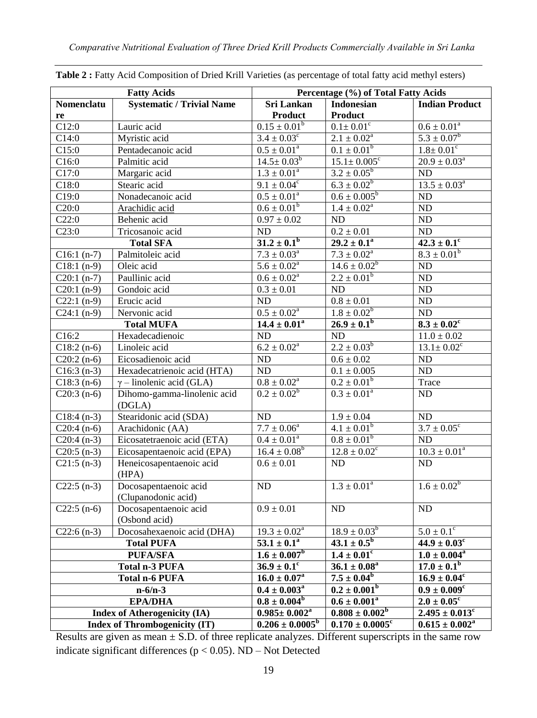| <b>Fatty Acids</b>                  |                                      | Percentage (%) of Total Fatty Acids |                                 |                              |  |
|-------------------------------------|--------------------------------------|-------------------------------------|---------------------------------|------------------------------|--|
| Nomenclatu                          | <b>Systematic / Trivial Name</b>     | <b>Sri Lankan</b>                   | <b>Indonesian</b>               | <b>Indian Product</b>        |  |
| re                                  |                                      | <b>Product</b>                      | <b>Product</b>                  |                              |  |
| C12:0                               | Lauric acid                          | $0.15 \pm 0.01^b$                   | $0.1 \pm 0.01^c$                | $0.6 \pm 0.01^a$             |  |
| C14:0                               | Myristic acid                        | $3.4 \pm 0.03^c$                    | $2.1 \pm 0.02^a$                | $5.3 \pm 0.07^b$             |  |
| C15:0                               | Pentadecanoic acid                   | $0.5 \pm 0.01^a$                    | $0.1 \pm 0.01^b$                | $1.8 \pm 0.01$ <sup>c</sup>  |  |
| C16:0                               | Palmitic acid                        | $14.5 \pm 0.03^b$                   | $15.1 \pm 0.005$ <sup>c</sup>   | $20.9\pm0.03^{\rm a}$        |  |
| C17:0                               | Margaric acid                        | $1.3 \pm 0.01^a$                    | $3.2 \pm 0.05^b$                | ND                           |  |
| C18:0                               | Stearic acid                         | $9.1 \pm 0.04^{\circ}$              | $6.3 \pm 0.02^b$                | $13.5 \pm 0.03^a$            |  |
| C19:0                               | Nonadecanoic acid                    | $0.5 \pm 0.01^a$                    | $0.6 \pm 0.005^b$               | $\rm ND$                     |  |
| C20:0                               | Arachidic acid                       | $0.6 \pm 0.01^b$                    | $1.4 \pm 0.02^{\rm a}$          | $\rm ND$                     |  |
| C22:0                               | Behenic acid                         | $0.97 \pm 0.02$                     | ND                              | $\rm ND$                     |  |
| C23:0                               | Tricosanoic acid                     | ND                                  | $0.2 \pm 0.01$                  | $\overline{\text{ND}}$       |  |
|                                     | <b>Total SFA</b>                     | $31.2 \pm 0.1^b$                    | $29.2 \pm 0.1^a$                | $42.3 \pm 0.1$ <sup>c</sup>  |  |
| $C16:1(n-7)$                        | Palmitoleic acid                     | $7.3 \pm 0.03^{\circ}$              | $7.3 \pm 0.02^a$                | $8.3 \pm 0.01^b$             |  |
| $C18:1(n-9)$                        | Oleic acid                           | $5.6 \pm 0.02^a$                    | $14.6 \pm 0.02^b$               | $\rm ND$                     |  |
| $C20:1(n-7)$                        | Paullinic acid                       | $0.6 \pm 0.02^a$                    | $2.2 \pm 0.01^b$                | $\rm ND$                     |  |
| $C20:1(n-9)$                        | Gondoic acid                         | $0.3 \pm 0.01$                      | ND                              | $\rm ND$                     |  |
| $C22:1(n-9)$                        | Erucic acid                          | ND                                  | $0.8\pm0.01$                    | $\rm ND$                     |  |
| $C24:1(n-9)$                        | Nervonic acid                        | $0.5 \pm 0.02^a$                    | $1.8 \pm 0.02^b$                | $\rm ND$                     |  |
|                                     | <b>Total MUFA</b>                    | $14.4 \pm 0.01^a$                   | $26.9 \pm 0.1^{b}$              | $8.3\pm0.02^{\rm c}$         |  |
| C16:2                               | Hexadecadienoic                      | ND                                  | $\rm ND$                        | $11.0 \pm 0.02$              |  |
| $C18:2(n-6)$                        | Linoleic acid                        | $6.2 \pm 0.02^a$                    | $2.2 \pm 0.03^b$                | $13.1 \pm 0.02^c$            |  |
| $C20:2(n-6)$                        | Eicosadienoic acid                   | ND                                  | $0.6\pm0.02$                    | $\rm ND$                     |  |
| $C16:3(n-3)$                        | Hexadecatrienoic acid (HTA)          | ND                                  | $0.1\pm0.005$                   | ND                           |  |
| $C18:3(n-6)$                        | $\gamma$ – linolenic acid (GLA)      | $0.8 \pm 0.02^a$                    | $0.2 \pm 0.01^b$                | Trace                        |  |
| $C20:3(n-6)$                        | Dihomo-gamma-linolenic acid          | $0.2 \pm 0.02^b$                    | $0.3 \pm 0.01^a$                | ND                           |  |
|                                     | (DGLA)                               |                                     |                                 |                              |  |
| $C18:4(n-3)$                        | Stearidonic acid (SDA)               | ND                                  | $1.9 \pm 0.04$                  | $\rm ND$                     |  |
| $C20:4(n-6)$                        | Arachidonic (AA)                     | $7.7 \pm 0.06^a$                    | $4.1 \pm 0.01^b$                | $3.7 \pm 0.05^{\circ}$       |  |
| $C20:4(n-3)$                        | Eicosatetraenoic acid (ETA)          | $0.4 \pm 0.01^a$                    | $0.8 \pm 0.01^b$                | ND                           |  |
| $C20:5(n-3)$                        | Eicosapentaenoic acid (EPA)          | $16.4 \pm 0.08^b$                   | $12.8 \pm 0.02^c$               | $10.3\pm0.01^{\rm a}$        |  |
| $C21:5(n-3)$                        | Heneicosapentaenoic acid             | $0.6\pm0.01$                        | ND                              | ND                           |  |
|                                     | (HPA)                                |                                     |                                 |                              |  |
| $C22:5(n-3)$                        | Docosapentaenoic acid                | ND                                  | $1.3 \pm 0.01^a$                | $1.6 \pm 0.02^b$             |  |
|                                     | (Clupanodonic acid)                  |                                     |                                 |                              |  |
| $C22:5(n-6)$                        | Docosapentaenoic acid                | $0.9 \pm 0.01$                      | <b>ND</b>                       | <b>ND</b>                    |  |
|                                     | (Osbond acid)                        |                                     |                                 |                              |  |
| $C22:6(n-3)$                        | Docosahexaenoic acid (DHA)           | $19.3 \pm 0.02^a$                   | $18.9 \pm 0.03^b$               | $5.0\pm0.1^{\circ}$          |  |
|                                     | <b>Total PUFA</b>                    | $53.1 \pm 0.1^a$                    | $43.1 \pm 0.5^b$                | $44.9 \pm 0.03$ <sup>c</sup> |  |
| PUFA/SFA                            |                                      | $1.6 \pm 0.007$ <sup>b</sup>        | $1.4 \pm 0.01$ <sup>c</sup>     | $1.0 \pm 0.004^a$            |  |
|                                     | Total n-3 PUFA                       | $36.9 \pm 0.1$ <sup>c</sup>         | $36.1 \pm 0.08^a$               | $17.0 \pm 0.1^b$             |  |
|                                     | <b>Total n-6 PUFA</b>                | $16.0 \pm 0.07^{\rm a}$             | $7.5 \pm 0.04^b$                | $16.9 \pm 0.04^c$            |  |
|                                     | $n - 6/n - 3$                        | $0.4 \pm 0.003^{\rm a}$             | $0.2 \pm 0.001^b$               | $0.9 \pm 0.009$ <sup>c</sup> |  |
|                                     | <b>EPA/DHA</b>                       | $0.8 \pm 0.004^b$                   | $0.6 \pm 0.001^a$               | $2.0 \pm 0.05^{\circ}$       |  |
| <b>Index of Atherogenicity (IA)</b> |                                      | $0.985 \pm 0.002^a$                 | $0.808 \pm 0.002^b$             | $2.495 \pm 0.013^c$          |  |
|                                     | <b>Index of Thrombogenicity (IT)</b> | $0.206 \pm 0.0005^b$                | $0.170 \pm 0.0005$ <sup>c</sup> | $0.615 \pm 0.002^a$          |  |

**Table 2 :** Fatty Acid Composition of Dried Krill Varieties (as percentage of total fatty acid methyl esters)

Results are given as mean  $\pm$  S.D. of three replicate analyzes. Different superscripts in the same row indicate significant differences ( $p < 0.05$ ). ND – Not Detected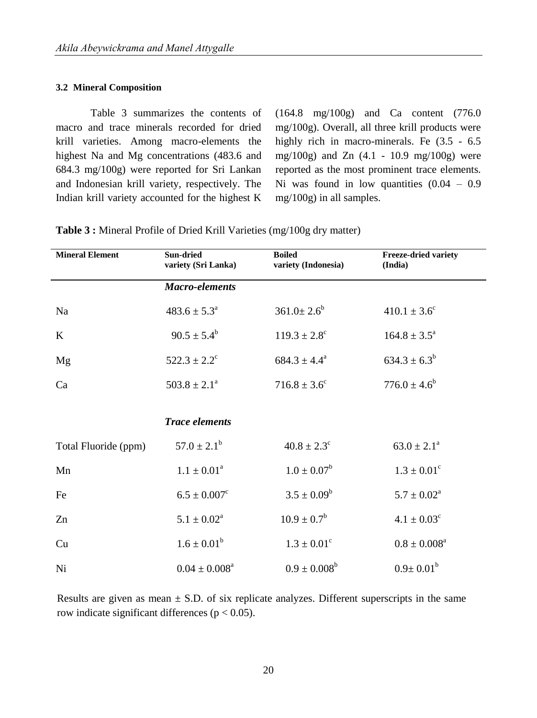#### **3.2 Mineral Composition**

Table 3 summarizes the contents of macro and trace minerals recorded for dried krill varieties. Among macro-elements the highest Na and Mg concentrations (483.6 and 684.3 mg/100g) were reported for Sri Lankan and Indonesian krill variety, respectively. The Indian krill variety accounted for the highest K

(164.8 mg/100g) and Ca content (776.0 mg/100g). Overall, all three krill products were highly rich in macro-minerals. Fe  $(3.5 - 6.5)$ mg/100g) and Zn (4.1 - 10.9 mg/100g) were reported as the most prominent trace elements. Ni was found in low quantities  $(0.04 - 0.9)$ mg/100g) in all samples.

| <b>Mineral Element</b> | <b>Boiled</b><br>Sun-dried<br>variety (Sri Lanka)<br>variety (Indonesia) |                             | <b>Freeze-dried variety</b><br>(India) |  |
|------------------------|--------------------------------------------------------------------------|-----------------------------|----------------------------------------|--|
|                        | <b>Macro-elements</b>                                                    |                             |                                        |  |
| Na                     | $483.6 \pm 5.3^{\circ}$                                                  | $361.0 \pm 2.6^b$           | $410.1 \pm 3.6^{\circ}$                |  |
| $\bf K$                | $90.5 \pm 5.4^b$                                                         | $119.3 \pm 2.8^{\circ}$     | $164.8 \pm 3.5^{\circ}$                |  |
| Mg                     | $522.3 \pm 2.2^{\circ}$                                                  | $684.3 \pm 4.4^a$           | $634.3 \pm 6.3^b$                      |  |
| Ca                     | $503.8 \pm 2.1^{\circ}$                                                  | $716.8 \pm 3.6^{\circ}$     | $776.0 \pm 4.6^b$                      |  |
|                        | <b>Trace elements</b>                                                    |                             |                                        |  |
|                        |                                                                          |                             |                                        |  |
| Total Fluoride (ppm)   | $57.0 \pm 2.1^b$                                                         | $40.8 \pm 2.3$ <sup>c</sup> | $63.0 \pm 2.1^{\circ}$                 |  |
| Mn                     | $1.1 \pm 0.01^a$                                                         | $1.0\pm0.07^{\rm b}$        | $1.3 \pm 0.01^{\circ}$                 |  |
| Fe                     | $6.5 \pm 0.007$ <sup>c</sup>                                             | $3.5 \pm 0.09^b$            | $5.7 \pm 0.02^a$                       |  |
| Zn                     | $5.1 \pm 0.02^a$                                                         | $10.9 \pm 0.7^b$            | $4.1 \pm 0.03^c$                       |  |
| Cu                     | $1.6 \pm 0.01^b$                                                         | $1.3 \pm 0.01^{\circ}$      | $0.8\pm0.008^{\rm a}$                  |  |
| Ni                     | $0.04 \pm 0.008^a$                                                       | $0.9 \pm 0.008^b$           | $0.9 \pm 0.01^{\rm b}$                 |  |

**Table 3 :** Mineral Profile of Dried Krill Varieties (mg/100g dry matter)

Results are given as mean  $\pm$  S.D. of six replicate analyzes. Different superscripts in the same row indicate significant differences ( $p < 0.05$ ).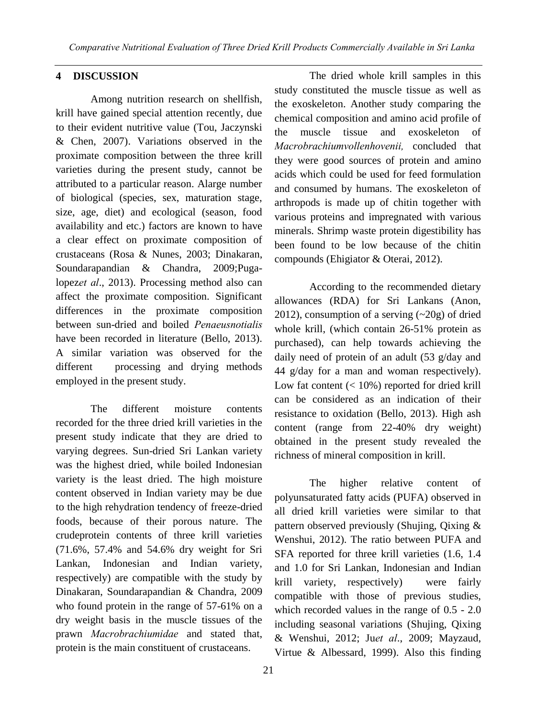# **4 DISCUSSION**

Among nutrition research on shellfish, krill have gained special attention recently, due to their evident nutritive value (Tou, Jaczynski & Chen, 2007). Variations observed in the proximate composition between the three krill varieties during the present study, cannot be attributed to a particular reason. Alarge number of biological (species, sex, maturation stage, size, age, diet) and ecological (season, food availability and etc.) factors are known to have a clear effect on proximate composition of crustaceans (Rosa & Nunes, 2003; Dinakaran, Soundarapandian & Chandra, 2009;Pugalopez*et al*., 2013). Processing method also can affect the proximate composition. Significant differences in the proximate composition between sun-dried and boiled *Penaeusnotialis*  have been recorded in literature (Bello, 2013). A similar variation was observed for the different processing and drying methods employed in the present study.

The different moisture contents recorded for the three dried krill varieties in the present study indicate that they are dried to varying degrees. Sun-dried Sri Lankan variety was the highest dried, while boiled Indonesian variety is the least dried. The high moisture content observed in Indian variety may be due to the high rehydration tendency of freeze-dried foods, because of their porous nature. The crudeprotein contents of three krill varieties (71.6%, 57.4% and 54.6% dry weight for Sri Lankan, Indonesian and Indian variety, respectively) are compatible with the study by Dinakaran, Soundarapandian & Chandra, 2009 who found protein in the range of 57-61% on a dry weight basis in the muscle tissues of the prawn *Macrobrachiumidae* and stated that, protein is the main constituent of crustaceans.

 The dried whole krill samples in this study constituted the muscle tissue as well as the exoskeleton. Another study comparing the chemical composition and amino acid profile of the muscle tissue and exoskeleton of *Macrobrachiumvollenhovenii,* concluded that they were good sources of protein and amino acids which could be used for feed formulation and consumed by humans. The exoskeleton of arthropods is made up of chitin together with various proteins and impregnated with various minerals. Shrimp waste protein digestibility has been found to be low because of the chitin compounds (Ehigiator & Oterai, 2012).

According to the recommended dietary allowances (RDA) for Sri Lankans (Anon, 2012), consumption of a serving (~20g) of dried whole krill, (which contain 26-51% protein as purchased), can help towards achieving the daily need of protein of an adult (53 g/day and 44 g/day for a man and woman respectively). Low fat content  $(< 10\%)$  reported for dried krill can be considered as an indication of their resistance to oxidation (Bello, 2013). High ash content (range from 22-40% dry weight) obtained in the present study revealed the richness of mineral composition in krill.

The higher relative content of polyunsaturated fatty acids (PUFA) observed in all dried krill varieties were similar to that pattern observed previously (Shujing, Qixing & Wenshui, 2012). The ratio between PUFA and SFA reported for three krill varieties (1.6, 1.4 and 1.0 for Sri Lankan, Indonesian and Indian krill variety, respectively) were fairly compatible with those of previous studies, which recorded values in the range of 0.5 - 2.0 including seasonal variations (Shujing, Qixing & Wenshui, 2012; Ju*et al*., 2009; Mayzaud, Virtue & Albessard, 1999). Also this finding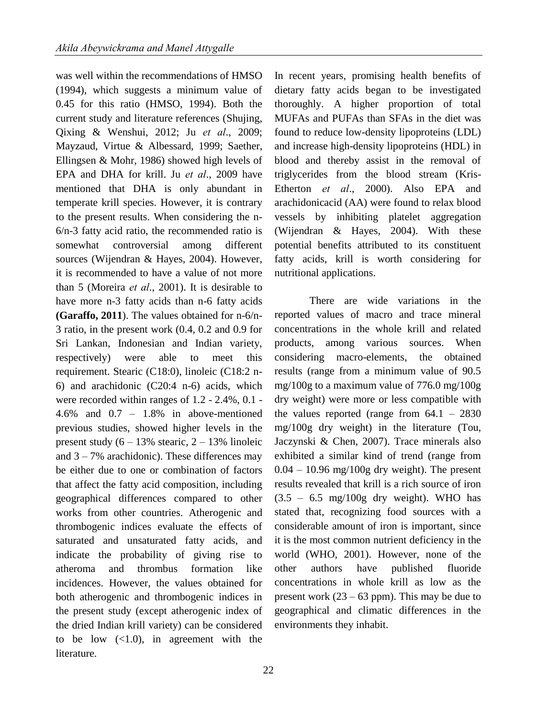was well within the recommendations of HMSO (1994), which suggests a minimum value of 0.45 for this ratio (HMSO, 1994). Both the current study and literature references (Shujing, Qixing & Wenshui, 2012; Ju *et al*., 2009; Mayzaud, Virtue & Albessard, 1999; Saether, Ellingsen & Mohr, 1986) showed high levels of EPA and DHA for krill. Ju *et al*., 2009 have mentioned that DHA is only abundant in temperate krill species. However, it is contrary to the present results. When considering the n-6/n-3 fatty acid ratio, the recommended ratio is somewhat controversial among different sources (Wijendran & Hayes, 2004). However, it is recommended to have a value of not more than 5 (Moreira *et al*., 2001). It is desirable to have more n-3 fatty acids than n-6 fatty acids **(Garaffo, 2011**). The values obtained for n-6/n-3 ratio, in the present work (0.4, 0.2 and 0.9 for Sri Lankan, Indonesian and Indian variety, respectively) were able to meet this requirement. Stearic (C18:0), linoleic (C18:2 n-6) and arachidonic (C20:4 n-6) acids, which were recorded within ranges of 1.2 - 2.4%, 0.1 - 4.6% and 0.7 – 1.8% in above-mentioned previous studies, showed higher levels in the present study  $(6 - 13\% \text{ stearic}, 2 - 13\% \text{ linoleic})$ and  $3 - 7\%$  arachidonic). These differences may be either due to one or combination of factors that affect the fatty acid composition, including geographical differences compared to other works from other countries. Atherogenic and thrombogenic indices evaluate the effects of saturated and unsaturated fatty acids, and indicate the probability of giving rise to atheroma and thrombus formation like incidences. However, the values obtained for both atherogenic and thrombogenic indices in the present study (except atherogenic index of the dried Indian krill variety) can be considered to be low  $(<1.0)$ , in agreement with the literature.

In recent years, promising health benefits of dietary fatty acids began to be investigated thoroughly. A higher proportion of total MUFAs and PUFAs than SFAs in the diet was found to reduce low-density lipoproteins (LDL) and increase high-density lipoproteins (HDL) in blood and thereby assist in the removal of triglycerides from the blood stream (Kris-Etherton *et al*., 2000). Also EPA and arachidonicacid (AA) were found to relax blood vessels by inhibiting platelet aggregation (Wijendran & Hayes, 2004). With these potential benefits attributed to its constituent fatty acids, krill is worth considering for nutritional applications.

There are wide variations in the reported values of macro and trace mineral concentrations in the whole krill and related products, among various sources. When considering macro-elements, the obtained results (range from a minimum value of 90.5 mg/100g to a maximum value of 776.0 mg/100g dry weight) were more or less compatible with the values reported (range from  $64.1 - 2830$ mg/100g dry weight) in the literature (Tou, Jaczynski & Chen, 2007). Trace minerals also exhibited a similar kind of trend (range from  $0.04 - 10.96$  mg/100g dry weight). The present results revealed that krill is a rich source of iron  $(3.5 - 6.5 \text{ mg}/100 \text{g} \text{ dry weight})$ . WHO has stated that, recognizing food sources with a considerable amount of iron is important, since it is the most common nutrient deficiency in the world (WHO, 2001). However, none of the other authors have published fluoride concentrations in whole krill as low as the present work (23 – 63 ppm). This may be due to geographical and climatic differences in the environments they inhabit.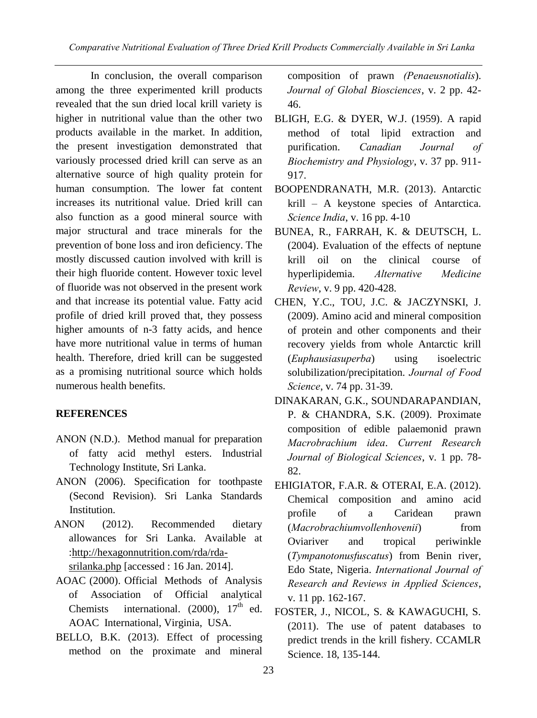In conclusion, the overall comparison among the three experimented krill products revealed that the sun dried local krill variety is higher in nutritional value than the other two products available in the market. In addition, the present investigation demonstrated that variously processed dried krill can serve as an alternative source of high quality protein for human consumption. The lower fat content increases its nutritional value. Dried krill can also function as a good mineral source with major structural and trace minerals for the prevention of bone loss and iron deficiency. The mostly discussed caution involved with krill is their high fluoride content. However toxic level of fluoride was not observed in the present work and that increase its potential value. Fatty acid profile of dried krill proved that, they possess higher amounts of n-3 fatty acids, and hence have more nutritional value in terms of human health. Therefore, dried krill can be suggested as a promising nutritional source which holds numerous health benefits.

# **REFERENCES**

- ANON (N.D.). Method manual for preparation of fatty acid methyl esters. Industrial Technology Institute, Sri Lanka.
- ANON (2006). Specification for toothpaste (Second Revision). Sri Lanka Standards Institution.
- ANON (2012). Recommended dietary allowances for Sri Lanka. Available at [:http://hexagonnutrition.com/rda/rda](http://hexagonnutrition.com/rda/rda-srilanka.php)[srilanka.php](http://hexagonnutrition.com/rda/rda-srilanka.php) [accessed : 16 Jan. 2014].
- AOAC (2000). Official Methods of Analysis of Association of Official analytical Chemists international.  $(2000)$ ,  $17<sup>th</sup>$  ed. AOAC International, Virginia, USA.
- BELLO, B.K. (2013). Effect of processing method on the proximate and mineral

composition of prawn *(Penaeusnotialis*). *Journal of Global Biosciences*, v. 2 pp. 42- 46.

- BLIGH, E.G. & DYER, W.J. (1959). A rapid method of total lipid extraction and purification. *Canadian Journal of Biochemistry and Physiology*, v. 37 pp. 911- 917.
- BOOPENDRANATH, M.R. (2013). Antarctic krill – A keystone species of Antarctica. *Science India*, v. 16 pp. 4-10
- BUNEA, R., FARRAH, K. & DEUTSCH, L. (2004). Evaluation of the effects of neptune krill oil on the clinical course of hyperlipidemia. *Alternative Medicine Review*, v. 9 pp. 420-428.
- CHEN, Y.C., TOU, J.C. & JACZYNSKI, J. (2009). Amino acid and mineral composition of protein and other components and their recovery yields from whole Antarctic krill (*Euphausiasuperba*) using isoelectric solubilization/precipitation. *Journal of Food Science*, v. 74 pp. 31-39.
- DINAKARAN, G.K., SOUNDARAPANDIAN, P. & CHANDRA, S.K. (2009). Proximate composition of edible palaemonid prawn *Macrobrachium idea*. *Current Research Journal of Biological Sciences*, v. 1 pp. 78- 82.
- EHIGIATOR, F.A.R. & OTERAI, E.A. (2012). Chemical composition and amino acid profile of a Caridean prawn (*Macrobrachiumvollenhovenii*) from Oviariver and tropical periwinkle (*Tympanotonusfuscatus*) from Benin river, Edo State, Nigeria. *International Journal of Research and Reviews in Applied Sciences*, v. 11 pp. 162-167.
- FOSTER, J., NICOL, S. & KAWAGUCHI, S. (2011). The use of patent databases to predict trends in the krill fishery. CCAMLR Science. 18, 135-144.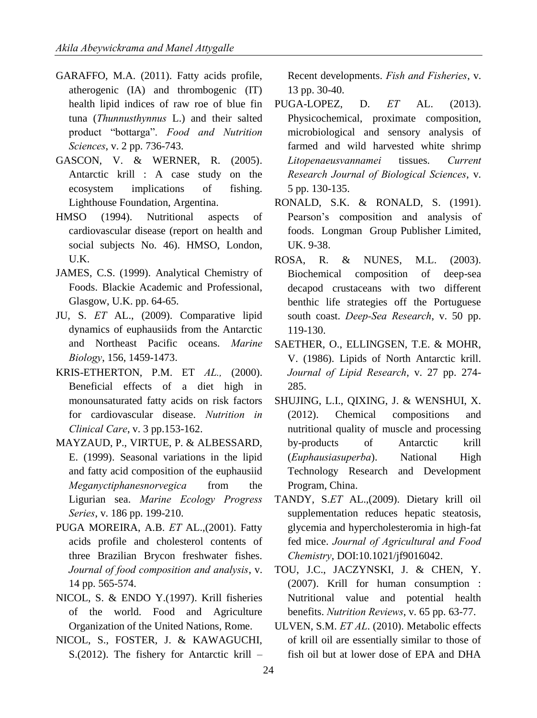- GARAFFO, M.A. (2011). Fatty acids profile, atherogenic (IA) and thrombogenic (IT) health lipid indices of raw roe of blue fin tuna (*Thunnusthynnus* L.) and their salted product "bottarga". *Food and Nutrition Sciences*, v. 2 pp. 736-743.
- GASCON, V. & WERNER, R. (2005). Antarctic krill : A case study on the ecosystem implications of fishing. Lighthouse Foundation, Argentina.
- HMSO (1994). Nutritional aspects of cardiovascular disease (report on health and social subjects No. 46). HMSO, London, U.K.
- JAMES, C.S. (1999). Analytical Chemistry of Foods. Blackie Academic and Professional, Glasgow, U.K. pp. 64-65.
- JU, S. *ET* AL., (2009). Comparative lipid dynamics of euphausiids from the Antarctic and Northeast Pacific oceans. *Marine Biology*, 156, 1459-1473.
- KRIS-ETHERTON, P.M. ET *AL.,* (2000). Beneficial effects of a diet high in monounsaturated fatty acids on risk factors for cardiovascular disease. *Nutrition in Clinical Care*, v. 3 pp.153-162.
- MAYZAUD, P., VIRTUE, P. & ALBESSARD, E. (1999). Seasonal variations in the lipid and fatty acid composition of the euphausiid *Meganyctiphanesnorvegica* from the Ligurian sea. *Marine Ecology Progress Series*, v. 186 pp. 199-210.
- PUGA MOREIRA, A.B. *ET* AL.,(2001). Fatty acids profile and cholesterol contents of three Brazilian Brycon freshwater fishes. *Journal of food composition and analysis*, v. 14 pp. 565-574.
- NICOL, S. & ENDO Y.(1997). Krill fisheries of the world. Food and Agriculture Organization of the United Nations, Rome.
- NICOL, S., FOSTER, J. & KAWAGUCHI, S.(2012). The fishery for Antarctic krill –

Recent developments. *Fish and Fisheries*, v. 13 pp. 30-40.

- PUGA-LOPEZ, D. *ET* AL. (2013). Physicochemical, proximate composition, microbiological and sensory analysis of farmed and wild harvested white shrimp *Litopenaeusvannamei* tissues. *Current Research Journal of Biological Sciences*, v. 5 pp. 130-135.
- RONALD, S.K. & RONALD, S. (1991). Pearson's composition and analysis of foods. Longman Group Publisher Limited, UK. 9-38.
- ROSA, R. & NUNES, M.L. (2003). Biochemical composition of deep-sea decapod crustaceans with two different benthic life strategies off the Portuguese south coast. *Deep-Sea Research*, v. 50 pp. 119-130.
- SAETHER, O., ELLINGSEN, T.E. & MOHR, V. (1986). Lipids of North Antarctic krill. *Journal of Lipid Research*, v. 27 pp. 274- 285.
- SHUJING, L.I., QIXING, J. & WENSHUI, X. (2012). Chemical compositions and nutritional quality of muscle and processing by-products of Antarctic krill (*Euphausiasuperba*). National High Technology Research and Development Program, China.
- TANDY, S.*ET* AL.,(2009). Dietary krill oil supplementation reduces hepatic steatosis, glycemia and hypercholesteromia in high-fat fed mice. *Journal of Agricultural and Food Chemistry*, DOI:10.1021/jf9016042.
- TOU, J.C., JACZYNSKI, J. & CHEN, Y. (2007). Krill for human consumption : Nutritional value and potential health benefits. *Nutrition Reviews*, v. 65 pp. 63-77.
- ULVEN, S.M. *ET AL*. (2010). Metabolic effects of krill oil are essentially similar to those of fish oil but at lower dose of EPA and DHA